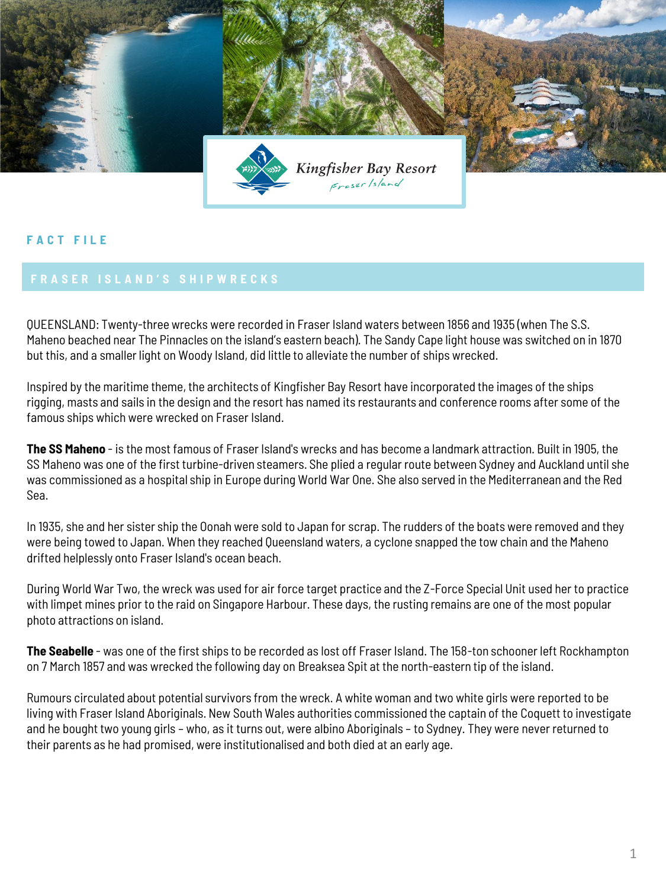

## **F A C T F I L E**

QUEENSLAND: Twenty-three wrecks were recorded in Fraser Island waters between 1856 and 1935 (when The S.S. Maheno beached near The Pinnacles on the island's eastern beach). The Sandy Cape light house was switched on in 1870 but this, and a smaller light on Woody Island, did little to alleviate the number of ships wrecked.

Inspired by the maritime theme, the architects of Kingfisher Bay Resort have incorporated the images of the ships rigging, masts and sails in the design and the resort has named its restaurants and conference rooms after some of the famous ships which were wrecked on Fraser Island.

**The SS Maheno** - is the most famous of Fraser Island's wrecks and has become a landmark attraction. Built in 1905, the SS Maheno was one of the first turbine-driven steamers. She plied a regular route between Sydney and Auckland until she was commissioned as a hospital ship in Europe during World War One. She also served in the Mediterranean and the Red Sea.

In 1935, she and her sister ship the Oonah were sold to Japan for scrap. The rudders of the boats were removed and they were being towed to Japan. When they reached Queensland waters, a cyclone snapped the tow chain and the Maheno drifted helplessly onto Fraser Island's ocean beach.

During World War Two, the wreck was used for air force target practice and the Z-Force Special Unit used her to practice with limpet mines prior to the raid on Singapore Harbour. These days, the rusting remains are one of the most popular photo attractions on island.

**The Seabelle** - was one of the first ships to be recorded as lost off Fraser Island. The 158-ton schooner left Rockhampton on 7 March 1857 and was wrecked the following day on Breaksea Spit at the north-eastern tip of the island.

Rumours circulated about potential survivors from the wreck. A white woman and two white girls were reported to be living with Fraser Island Aboriginals. New South Wales authorities commissioned the captain of the Coquett to investigate and he bought two young girls – who, as it turns out, were albino Aboriginals – to Sydney. They were never returned to their parents as he had promised, were institutionalised and both died at an early age.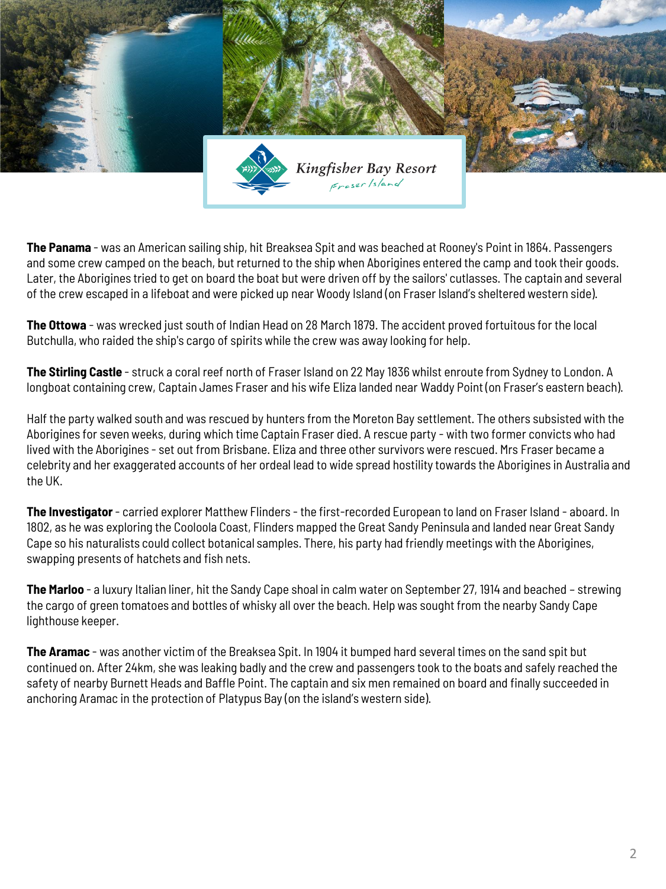

**The Panama** - was an American sailing ship, hit Breaksea Spit and was beached at Rooney's Point in 1864. Passengers and some crew camped on the beach, but returned to the ship when Aborigines entered the camp and took their goods. Later, the Aborigines tried to get on board the boat but were driven off by the sailors' cutlasses. The captain and several of the crew escaped in a lifeboat and were picked up near Woody Island (on Fraser Island's sheltered western side).

**The Ottowa** - was wrecked just south of Indian Head on 28 March 1879. The accident proved fortuitous for the local Butchulla, who raided the ship's cargo of spirits while the crew was away looking for help.

**The Stirling Castle** - struck a coral reef north of Fraser Island on 22 May 1836 whilst enroute from Sydney to London. A longboat containing crew, Captain James Fraser and his wife Eliza landed near Waddy Point (on Fraser's eastern beach).

Half the party walked south and was rescued by hunters from the Moreton Bay settlement. The others subsisted with the Aborigines for seven weeks, during which time Captain Fraser died. A rescue party - with two former convicts who had lived with the Aborigines - set out from Brisbane. Eliza and three other survivors were rescued. Mrs Fraser became a celebrity and her exaggerated accounts of her ordeal lead to wide spread hostility towards the Aborigines in Australia and the UK.

**The Investigator** - carried explorer Matthew Flinders - the first-recorded European to land on Fraser Island - aboard. In 1802, as he was exploring the Cooloola Coast, Flinders mapped the Great Sandy Peninsula and landed near Great Sandy Cape so his naturalists could collect botanical samples. There, his party had friendly meetings with the Aborigines, swapping presents of hatchets and fish nets.

**The Marloo** - a luxury Italian liner, hit the Sandy Cape shoal in calm water on September 27, 1914 and beached – strewing the cargo of green tomatoes and bottles of whisky all over the beach. Help was sought from the nearby Sandy Cape lighthouse keeper.

**The Aramac** - was another victim of the Breaksea Spit. In 1904 it bumped hard several times on the sand spit but continued on. After 24km, she was leaking badly and the crew and passengers took to the boats and safely reached the safety of nearby Burnett Heads and Baffle Point. The captain and six men remained on board and finally succeeded in anchoring Aramac in the protection of Platypus Bay (on the island's western side).